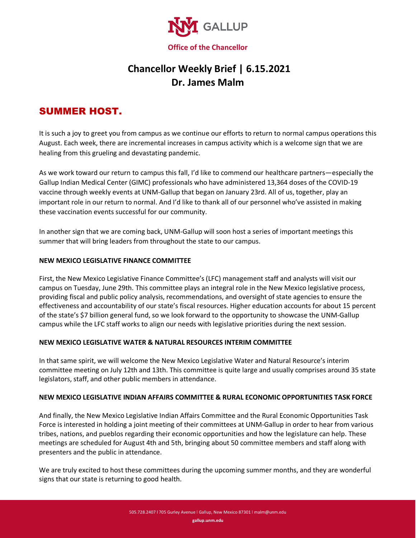

# **Chancellor Weekly Brief | 6.15.2021 Dr. James Malm**

## SUMMER HOST.

It is such a joy to greet you from campus as we continue our efforts to return to normal campus operations this August. Each week, there are incremental increases in campus activity which is a welcome sign that we are healing from this grueling and devastating pandemic.

As we work toward our return to campus this fall, I'd like to commend our healthcare partners—especially the Gallup Indian Medical Center (GIMC) professionals who have administered 13,364 doses of the COVID-19 vaccine through weekly events at UNM-Gallup that began on January 23rd. All of us, together, play an important role in our return to normal. And I'd like to thank all of our personnel who've assisted in making these vaccination events successful for our community.

In another sign that we are coming back, UNM-Gallup will soon host a series of important meetings this summer that will bring leaders from throughout the state to our campus.

#### **NEW MEXICO LEGISLATIVE FINANCE COMMITTEE**

First, the New Mexico Legislative Finance Committee's (LFC) management staff and analysts will visit our campus on Tuesday, June 29th. This committee plays an integral role in the New Mexico legislative process, providing fiscal and public policy analysis, recommendations, and oversight of state agencies to ensure the effectiveness and accountability of our state's fiscal resources. Higher education accounts for about 15 percent of the state's \$7 billion general fund, so we look forward to the opportunity to showcase the UNM-Gallup campus while the LFC staff works to align our needs with legislative priorities during the next session.

#### **NEW MEXICO LEGISLATIVE WATER & NATURAL RESOURCES INTERIM COMMITTEE**

In that same spirit, we will welcome the New Mexico Legislative Water and Natural Resource's interim committee meeting on July 12th and 13th. This committee is quite large and usually comprises around 35 state legislators, staff, and other public members in attendance.

#### **NEW MEXICO LEGISLATIVE INDIAN AFFAIRS COMMITTEE & RURAL ECONOMIC OPPORTUNITIES TASK FORCE**

And finally, the New Mexico Legislative Indian Affairs Committee and the Rural Economic Opportunities Task Force is interested in holding a joint meeting of their committees at UNM-Gallup in order to hear from various tribes, nations, and pueblos regarding their economic opportunities and how the legislature can help. These meetings are scheduled for August 4th and 5th, bringing about 50 committee members and staff along with presenters and the public in attendance.

We are truly excited to host these committees during the upcoming summer months, and they are wonderful signs that our state is returning to good health.